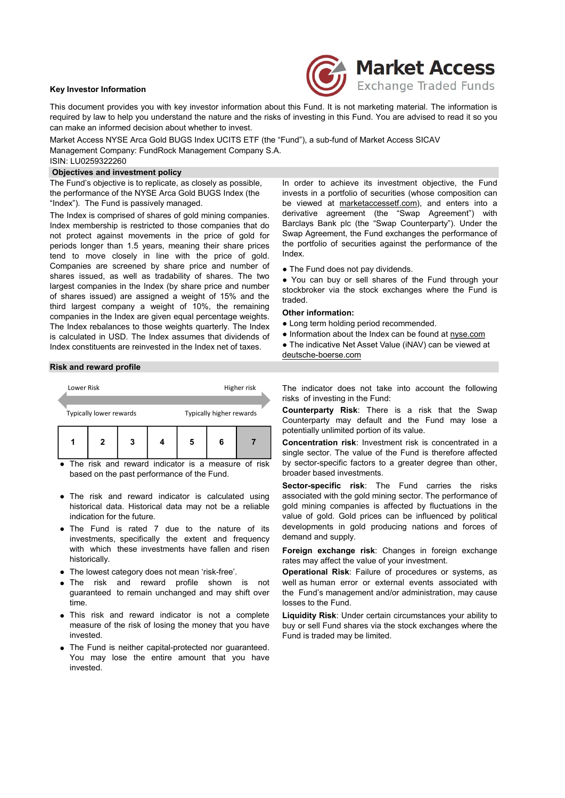### Key Investor Information



This document provides you with key investor information about this Fund. It is not marketing material. The information is required by law to help you understand the nature and the risks of investing in this Fund. You are advised to read it so you can make an informed decision about whether to invest.

Market Access NYSE Arca Gold BUGS Index UCITS ETF (the "Fund"), a sub-fund of Market Access SICAV Management Company: FundRock Management Company S.A. ISIN: LU0259322260

# Objectives and investment policy

The Fund's objective is to replicate, as closely as possible, the performance of the NYSE Arca Gold BUGS Index (the "Index"). The Fund is passively managed.

The Index is comprised of shares of gold mining companies. Index membership is restricted to those companies that do not protect against movements in the price of gold for periods longer than 1.5 years, meaning their share prices tend to move closely in line with the price of gold. Companies are screened by share price and number of shares issued, as well as tradability of shares. The two largest companies in the Index (by share price and number of shares issued) are assigned a weight of 15% and the third largest company a weight of 10%, the remaining companies in the Index are given equal percentage weights. The Index rebalances to those weights quarterly. The Index is calculated in USD. The Index assumes that dividends of Index constituents are reinvested in the Index net of taxes. superant Company S.A.<br>
LU0259322260<br>
LU0259322260<br>
LU0259322260<br>
Cundis objective is to replicate, as closely as possible, in order to achieve its investment objective, the Fund<br>
efferival controllations of the NYSE Arca G Experience of the NYSE Arca God BUGS index (the investment of the NYSE Arca God BUGS Index (the investment of the NYSE Arca God BUGS Index (the investment of the NYSE Arca God BUGS Index (the investment (the "Star-<br>Index i

#### Risk and reward profile

| Lower Risk |                         |   | Higher risk              |   |  |  |  |
|------------|-------------------------|---|--------------------------|---|--|--|--|
|            | Typically lower rewards |   | Typically higher rewards |   |  |  |  |
|            | 2                       | 3 | 5                        | 6 |  |  |  |

• The risk and reward indicator is a measure of risk based on the past performance of the Fund.

- The risk and reward indicator is calculated using historical data. Historical data may not be a reliable indication for the future.
- The Fund is rated 7 due to the nature of its investments, specifically the extent and frequency with which these investments have fallen and risen historically.
- The lowest category does not mean 'risk-free'.
- The risk and reward profile shown is not guaranteed to remain unchanged and may shift over time.
- This risk and reward indicator is not a complete measure of the risk of losing the money that you have invested.
- The Fund is neither capital-protected nor guaranteed. You may lose the entire amount that you have invested.

In order to achieve its investment objective, the Fund invests in a portfolio of securities (whose composition can be viewed at marketaccessetf.com), and enters into a derivative agreement (the "Swap Agreement") with Barclays Bank plc (the "Swap Counterparty"). Under the Swap Agreement, the Fund exchanges the performance of the portfolio of securities against the performance of the Index.

• The Fund does not pay dividends.

● You can buy or sell shares of the Fund through your stockbroker via the stock exchanges where the Fund is traded.

# Other information:

- Long term holding period recommended.
- Information about the Index can be found at nyse.com
- The indicative Net Asset Value (iNAV) can be viewed at deutsche-boerse.com

The indicator does not take into account the following risks of investing in the Fund:

Counterparty Risk: There is a risk that the Swap Counterparty may default and the Fund may lose a potentially unlimited portion of its value.

Concentration risk: Investment risk is concentrated in a single sector. The value of the Fund is therefore affected by sector-specific factors to a greater degree than other, broader based investments.

Sector-specific risk: The Fund carries the risks associated with the gold mining sector. The performance of gold mining companies is affected by fluctuations in the value of gold. Gold prices can be influenced by political developments in gold producing nations and forces of demand and supply.

Foreign exchange risk: Changes in foreign exchange rates may affect the value of your investment.

Operational Risk: Failure of procedures or systems, as well as human error or external events associated with the Fund's management and/or administration, may cause losses to the Fund.

Liquidity Risk: Under certain circumstances your ability to buy or sell Fund shares via the stock exchanges where the Fund is traded may be limited.